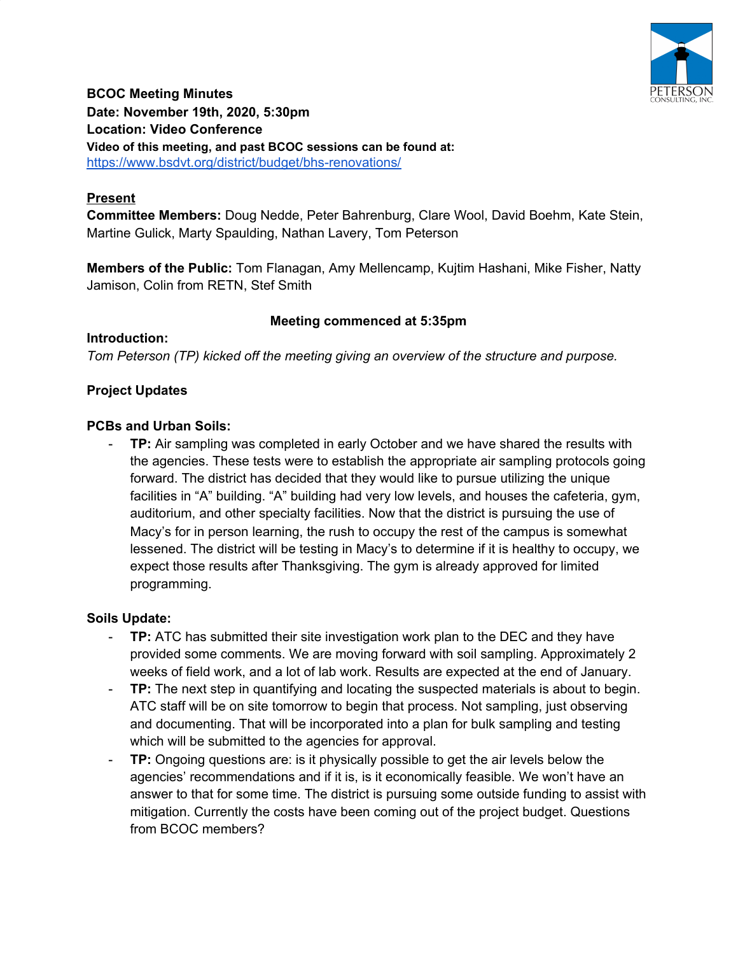

**BCOC Meeting Minutes Date: November 19th, 2020, 5:30pm Location: Video Conference Video of this meeting, and past BCOC sessions can be found at:** <https://www.bsdvt.org/district/budget/bhs-renovations/>

## **Present**

**Committee Members:** Doug Nedde, Peter Bahrenburg, Clare Wool, David Boehm, Kate Stein, Martine Gulick, Marty Spaulding, Nathan Lavery, Tom Peterson

**Members of the Public:** Tom Flanagan, Amy Mellencamp, Kujtim Hashani, Mike Fisher, Natty Jamison, Colin from RETN, Stef Smith

## **Meeting commenced at 5:35pm**

**Introduction:** *Tom Peterson (TP) kicked off the meeting giving an overview of the structure and purpose.*

## **Project Updates**

## **PCBs and Urban Soils:**

**TP:** Air sampling was completed in early October and we have shared the results with the agencies. These tests were to establish the appropriate air sampling protocols going forward. The district has decided that they would like to pursue utilizing the unique facilities in "A" building. "A" building had very low levels, and houses the cafeteria, gym, auditorium, and other specialty facilities. Now that the district is pursuing the use of Macy's for in person learning, the rush to occupy the rest of the campus is somewhat lessened. The district will be testing in Macy's to determine if it is healthy to occupy, we expect those results after Thanksgiving. The gym is already approved for limited programming.

## **Soils Update:**

- **TP:** ATC has submitted their site investigation work plan to the DEC and they have provided some comments. We are moving forward with soil sampling. Approximately 2 weeks of field work, and a lot of lab work. Results are expected at the end of January.
- **TP:** The next step in quantifying and locating the suspected materials is about to begin. ATC staff will be on site tomorrow to begin that process. Not sampling, just observing and documenting. That will be incorporated into a plan for bulk sampling and testing which will be submitted to the agencies for approval.
- **TP:** Ongoing questions are: is it physically possible to get the air levels below the agencies' recommendations and if it is, is it economically feasible. We won't have an answer to that for some time. The district is pursuing some outside funding to assist with mitigation. Currently the costs have been coming out of the project budget. Questions from BCOC members?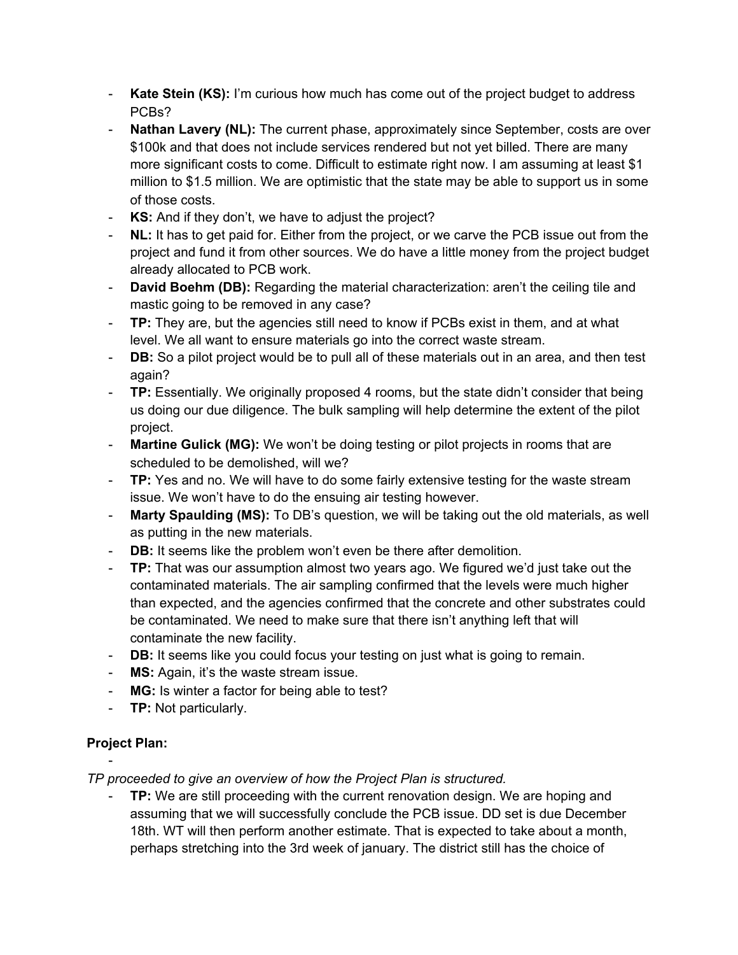- **Kate Stein (KS):** I'm curious how much has come out of the project budget to address PCBs?
- **Nathan Lavery (NL):** The current phase, approximately since September, costs are over \$100k and that does not include services rendered but not yet billed. There are many more significant costs to come. Difficult to estimate right now. I am assuming at least \$1 million to \$1.5 million. We are optimistic that the state may be able to support us in some of those costs.
- **KS:** And if they don't, we have to adjust the project?
- **NL:** It has to get paid for. Either from the project, or we carve the PCB issue out from the project and fund it from other sources. We do have a little money from the project budget already allocated to PCB work.
- **David Boehm (DB):** Regarding the material characterization: aren't the ceiling tile and mastic going to be removed in any case?
- **TP:** They are, but the agencies still need to know if PCBs exist in them, and at what level. We all want to ensure materials go into the correct waste stream.
- **DB:** So a pilot project would be to pull all of these materials out in an area, and then test again?
- **TP:** Essentially. We originally proposed 4 rooms, but the state didn't consider that being us doing our due diligence. The bulk sampling will help determine the extent of the pilot project.
- **Martine Gulick (MG):** We won't be doing testing or pilot projects in rooms that are scheduled to be demolished, will we?
- **TP:** Yes and no. We will have to do some fairly extensive testing for the waste stream issue. We won't have to do the ensuing air testing however.
- **Marty Spaulding (MS):** To DB's question, we will be taking out the old materials, as well as putting in the new materials.
- **DB:** It seems like the problem won't even be there after demolition.
- **TP:** That was our assumption almost two years ago. We figured we'd just take out the contaminated materials. The air sampling confirmed that the levels were much higher than expected, and the agencies confirmed that the concrete and other substrates could be contaminated. We need to make sure that there isn't anything left that will contaminate the new facility.
- **DB:** It seems like you could focus your testing on just what is going to remain.
- **MS:** Again, it's the waste stream issue.
- **MG:** Is winter a factor for being able to test?
- **TP:** Not particularly.

# **Project Plan:**

-

*TP proceeded to give an overview of how the Project Plan is structured.*

**TP:** We are still proceeding with the current renovation design. We are hoping and assuming that we will successfully conclude the PCB issue. DD set is due December 18th. WT will then perform another estimate. That is expected to take about a month, perhaps stretching into the 3rd week of january. The district still has the choice of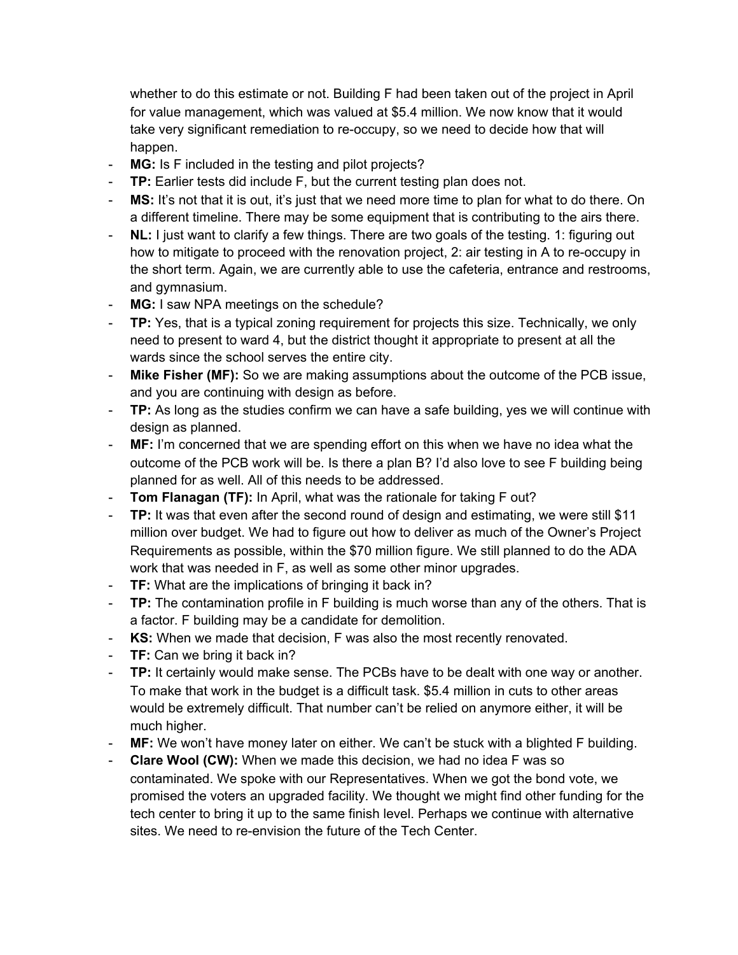whether to do this estimate or not. Building F had been taken out of the project in April for value management, which was valued at \$5.4 million. We now know that it would take very significant remediation to re-occupy, so we need to decide how that will happen.

- **MG:** Is F included in the testing and pilot projects?
- **TP:** Earlier tests did include F, but the current testing plan does not.
- **MS:** It's not that it is out, it's just that we need more time to plan for what to do there. On a different timeline. There may be some equipment that is contributing to the airs there.
- NL: I just want to clarify a few things. There are two goals of the testing. 1: figuring out how to mitigate to proceed with the renovation project, 2: air testing in A to re-occupy in the short term. Again, we are currently able to use the cafeteria, entrance and restrooms, and gymnasium.
- MG: I saw NPA meetings on the schedule?
- **TP:** Yes, that is a typical zoning requirement for projects this size. Technically, we only need to present to ward 4, but the district thought it appropriate to present at all the wards since the school serves the entire city.
- **Mike Fisher (MF):** So we are making assumptions about the outcome of the PCB issue, and you are continuing with design as before.
- **TP:** As long as the studies confirm we can have a safe building, yes we will continue with design as planned.
- **MF:** I'm concerned that we are spending effort on this when we have no idea what the outcome of the PCB work will be. Is there a plan B? I'd also love to see F building being planned for as well. All of this needs to be addressed.
- **Tom Flanagan (TF):** In April, what was the rationale for taking F out?
- **TP:** It was that even after the second round of design and estimating, we were still \$11 million over budget. We had to figure out how to deliver as much of the Owner's Project Requirements as possible, within the \$70 million figure. We still planned to do the ADA work that was needed in F, as well as some other minor upgrades.
- **TF:** What are the implications of bringing it back in?
- **TP:** The contamination profile in F building is much worse than any of the others. That is a factor. F building may be a candidate for demolition.
- **KS:** When we made that decision, F was also the most recently renovated.
- **TF:** Can we bring it back in?
- **TP:** It certainly would make sense. The PCBs have to be dealt with one way or another. To make that work in the budget is a difficult task. \$5.4 million in cuts to other areas would be extremely difficult. That number can't be relied on anymore either, it will be much higher.
- **MF:** We won't have money later on either. We can't be stuck with a blighted F building.
- **Clare Wool (CW):** When we made this decision, we had no idea F was so contaminated. We spoke with our Representatives. When we got the bond vote, we promised the voters an upgraded facility. We thought we might find other funding for the tech center to bring it up to the same finish level. Perhaps we continue with alternative sites. We need to re-envision the future of the Tech Center.